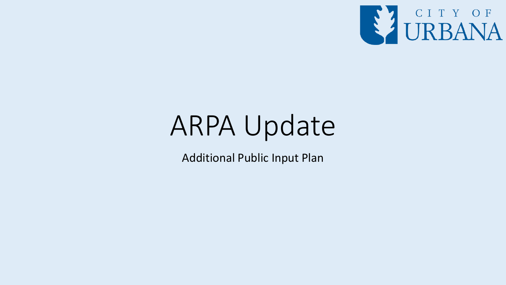

# ARPA Update

Additional Public Input Plan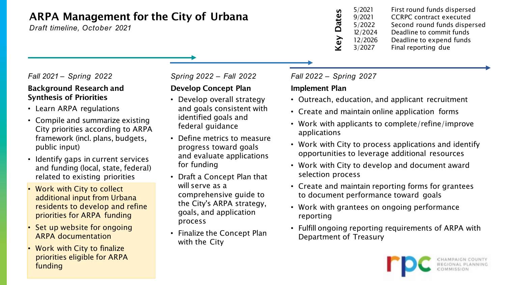### ARPA Management for the City of Urbana

*Draft timeline, October 2021*

#### *Fall 2021 – Spring 2022*

#### Background Research and Synthesis of Priorities

- Learn ARPA regulations
- Compile and summarize existing City priorities according to ARPA framework (incl. plans, budgets, public input)
- Identify gaps in current services and funding (local, state, federal) related to existing priorities
- Work with City to collect additional input from Urbana residents to develop and refine priorities for ARPA funding
- Set up website for ongoing ARPA documentation
- Work with City to finalize priorities eligible for ARPA funding

#### *Spring 2022 – Fall 2022*

### Develop Concept Plan

- Develop overall strategy and goals consistent with identified goals and federal guidance
- Define metrics to measure progress toward goals and evaluate applications for funding
- Draft a Concept Plan that will serve as a comprehensive guide to the City's ARPA strategy, goals, and application process
- Finalize the Concept Plan with the City

| 5/2021  | First round funds dispersed    |
|---------|--------------------------------|
| 9/2021  | <b>CCRPC</b> contract executed |
| 5/2022  | Second round funds dispersed   |
| 12/2024 | Deadline to commit funds       |
| 12/2026 | Deadline to expend funds       |
| 3/2027  | Final reporting due            |
|         |                                |

#### *Fall 2022 – Spring 2027*

#### Implement Plan

- Outreach, education, and applicant recruitment
- Create and maintain online application forms
- Work with applicants to complete/refine/improve applications
- Work with City to process applications and identify opportunities to leverage additional resources
- Work with City to develop and document award selection process
- Create and maintain reporting forms for grantees to document performance toward goals
- Work with grantees on ongoing performance reporting
- Fulfill ongoing reporting requirements of ARPA with Department of Treasury

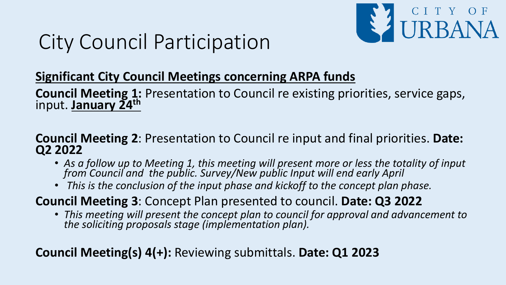

## City Council Participation

### **Significant City Council Meetings concerning ARPA funds**

**Council Meeting 1:** Presentation to Council re existing priorities, service gaps, input. **January 24th**

### **Council Meeting 2**: Presentation to Council re input and final priorities. **Date: Q2 2022**

- As a follow up to Meeting 1, this meeting will present more or less the totality of input *from Council and the public. Survey/New public Input will end early April*
- *This is the conclusion of the input phase and kickoff to the concept plan phase.*

### **Council Meeting 3**: Concept Plan presented to council. **Date: Q3 2022**

• *This meeting will present the concept plan to council for approval and advancement to the soliciting proposals stage (implementation plan).*

### **Council Meeting(s) 4(+):** Reviewing submittals. **Date: Q1 2023**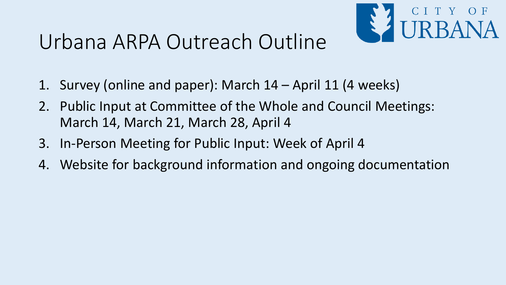## Urbana ARPA Outreach Outline



- 1. Survey (online and paper): March 14 April 11 (4 weeks)
- 2. Public Input at Committee of the Whole and Council Meetings: March 14, March 21, March 28, April 4
- 3. In-Person Meeting for Public Input: Week of April 4
- 4. Website for background information and ongoing documentation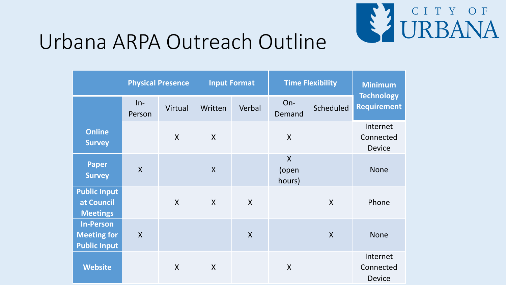

## Urbana ARPA Outreach Outline

|                                                               | <b>Physical Presence</b> |              | <b>Input Format</b>       |              | <b>Time Flexibility</b>         |                           | <b>Minimum</b>                          |
|---------------------------------------------------------------|--------------------------|--------------|---------------------------|--------------|---------------------------------|---------------------------|-----------------------------------------|
|                                                               | $In-$<br>Person          | Virtual      | Written                   | Verbal       | On-<br>Demand                   | Scheduled                 | <b>Technology</b><br><b>Requirement</b> |
| <b>Online</b><br><b>Survey</b>                                |                          | $\mathsf{X}$ | $\mathsf{X}$              |              | $\mathsf{X}$                    |                           | Internet<br>Connected<br><b>Device</b>  |
| <b>Paper</b><br><b>Survey</b>                                 | $\mathsf{X}$             |              | $\mathsf{X}$              |              | $\mathsf{X}$<br>(open<br>hours) |                           | <b>None</b>                             |
| <b>Public Input</b><br>at Council<br><b>Meetings</b>          |                          | $\mathsf{X}$ | $\boldsymbol{X}$          | $\mathsf{X}$ |                                 | $\boldsymbol{\mathsf{X}}$ | Phone                                   |
| <b>In-Person</b><br><b>Meeting for</b><br><b>Public Input</b> | $\mathsf{X}$             |              |                           | $\mathsf{X}$ |                                 | $\boldsymbol{X}$          | <b>None</b>                             |
| <b>Website</b>                                                |                          | $\mathsf{X}$ | $\boldsymbol{\mathsf{X}}$ |              | $\sf X$                         |                           | Internet<br>Connected<br><b>Device</b>  |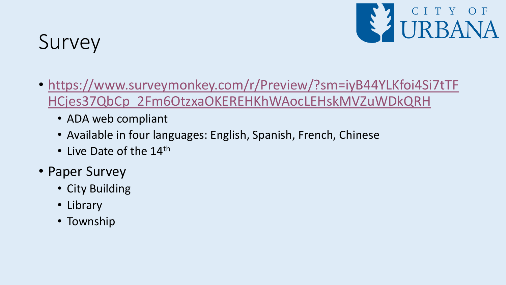

## Survey

- [https://www.surveymonkey.com/r/Preview/?sm=iyB44YLKfoi4Si7tTF](https://www.surveymonkey.com/r/Preview/?sm=iyB44YLKfoi4Si7tTFHCjes37QbCp_2Fm6OtzxaOKEREHKhWAocLEHskMVZuWDkQRH) HCjes37QbCp\_2Fm6OtzxaOKEREHKhWAocLEHskMVZuWDkQRH
	- ADA web compliant
	- Available in four languages: English, Spanish, French, Chinese
	- Live Date of the 14<sup>th</sup>
- Paper Survey
	- City Building
	- Library
	- Township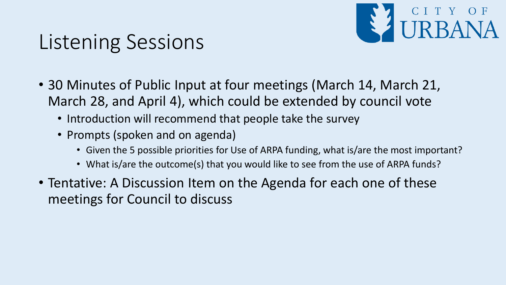

## Listening Sessions

- 30 Minutes of Public Input at four meetings (March 14, March 21, March 28, and April 4), which could be extended by council vote
	- Introduction will recommend that people take the survey
	- Prompts (spoken and on agenda)
		- Given the 5 possible priorities for Use of ARPA funding, what is/are the most important?
		- What is/are the outcome(s) that you would like to see from the use of ARPA funds?
- Tentative: A Discussion Item on the Agenda for each one of these meetings for Council to discuss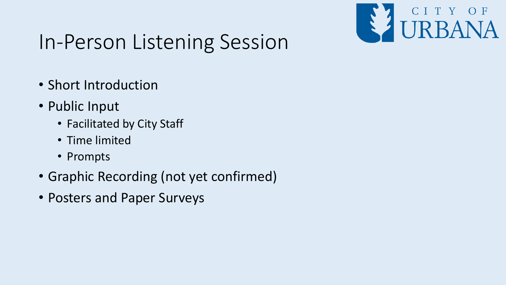

## In-Person Listening Session

- Short Introduction
- Public Input
	- Facilitated by City Staff
	- Time limited
	- Prompts
- Graphic Recording (not yet confirmed)
- Posters and Paper Surveys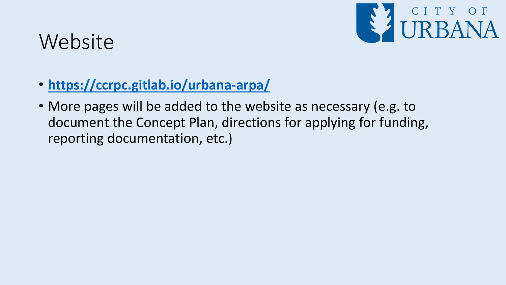

## **Website**

- **<https://ccrpc.gitlab.io/urbana-arpa/>**
- More pages will be added to the website as necessary (e.g. to document the Concept Plan, directions for applying for funding, reporting documentation, etc.)